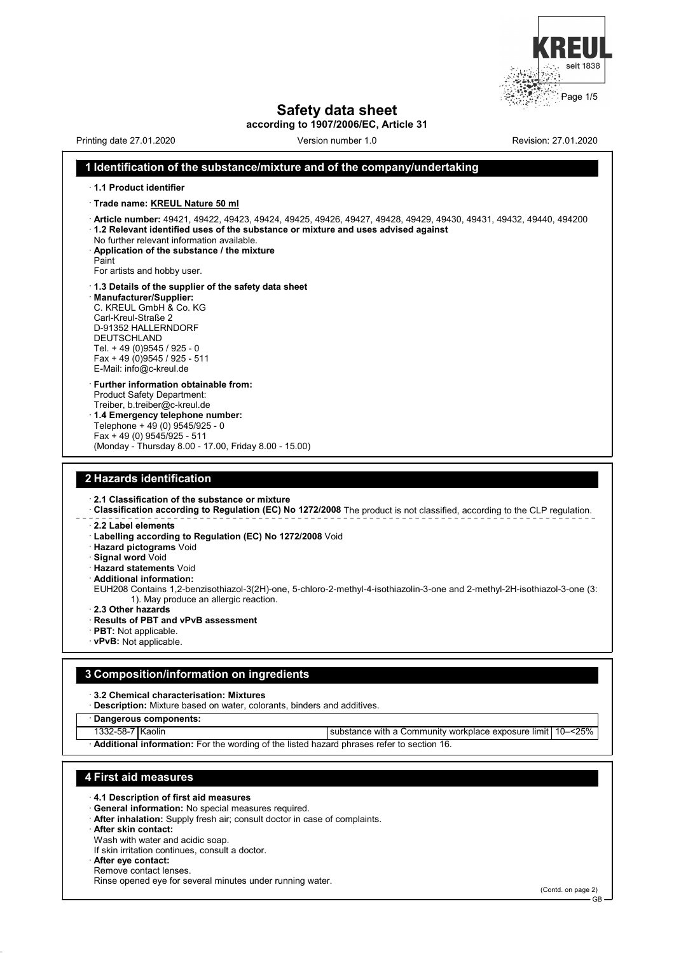

# **Safety data sheet**

**according to 1907/2006/EC, Article 31**

Printing date 27.01.2020 **Version number 1.0** Revision: 27.01.2020 **Revision: 27.01.2020** 

#### **1 Identification of the substance/mixture and of the company/undertaking**

- · **1.1 Product identifier**
- · **Trade name: KREUL Nature 50 ml**
- · **Article number:** 49421, 49422, 49423, 49424, 49425, 49426, 49427, 49428, 49429, 49430, 49431, 49432, 49440, 494200 · **1.2 Relevant identified uses of the substance or mixture and uses advised against**
- No further relevant information available.
- · **Application of the substance / the mixture**
- Paint

For artists and hobby user.

E-Mail: info@c-kreul.de

- · **1.3 Details of the supplier of the safety data sheet** · **Manufacturer/Supplier:** C. KREUL GmbH & Co. KG Carl-Kreul-Straße 2 D-91352 HALLERNDORF DEUTSCHLAND Tel. + 49 (0)9545 / 925 - 0 Fax + 49 (0)9545 / 925 - 511
- · **Further information obtainable from:** Product Safety Department: Treiber, b.treiber@c-kreul.de · **1.4 Emergency telephone number:** Telephone + 49 (0) 9545/925 - 0 Fax + 49 (0) 9545/925 - 511 (Monday - Thursday 8.00 - 17.00, Friday 8.00 - 15.00)

## **2 Hazards identification**

- · **2.1 Classification of the substance or mixture**
- · **Classification according to Regulation (EC) No 1272/2008** The product is not classified, according to the CLP regulation.
- · **2.2 Label elements**
	- · **Labelling according to Regulation (EC) No 1272/2008** Void
- · **Hazard pictograms** Void
- · **Signal word** Void
- · **Hazard statements** Void
- · **Additional information:**
- EUH208 Contains 1,2-benzisothiazol-3(2H)-one, 5-chloro-2-methyl-4-isothiazolin-3-one and 2-methyl-2H-isothiazol-3-one (3: 1). May produce an allergic reaction.
- · **2.3 Other hazards**
- · **Results of PBT and vPvB assessment**
- · **PBT:** Not applicable.
- · **vPvB:** Not applicable.

#### **3 Composition/information on ingredients**

- · **3.2 Chemical characterisation: Mixtures**
- · **Description:** Mixture based on water, colorants, binders and additives.
- · **Dangerous components:**
- 
- 1332-58-7 Kaolin substance with a Community workplace exposure limit 10–<25%
- · **Additional information:** For the wording of the listed hazard phrases refer to section 16.

## **4 First aid measures**

- · **4.1 Description of first aid measures**
- · **General information:** No special measures required.
- · **After inhalation:** Supply fresh air; consult doctor in case of complaints.
- · **After skin contact:**
- Wash with water and acidic soap.
- If skin irritation continues, consult a doctor.
- · **After eye contact:**
- Remove contact lenses.
- Rinse opened eye for several minutes under running water.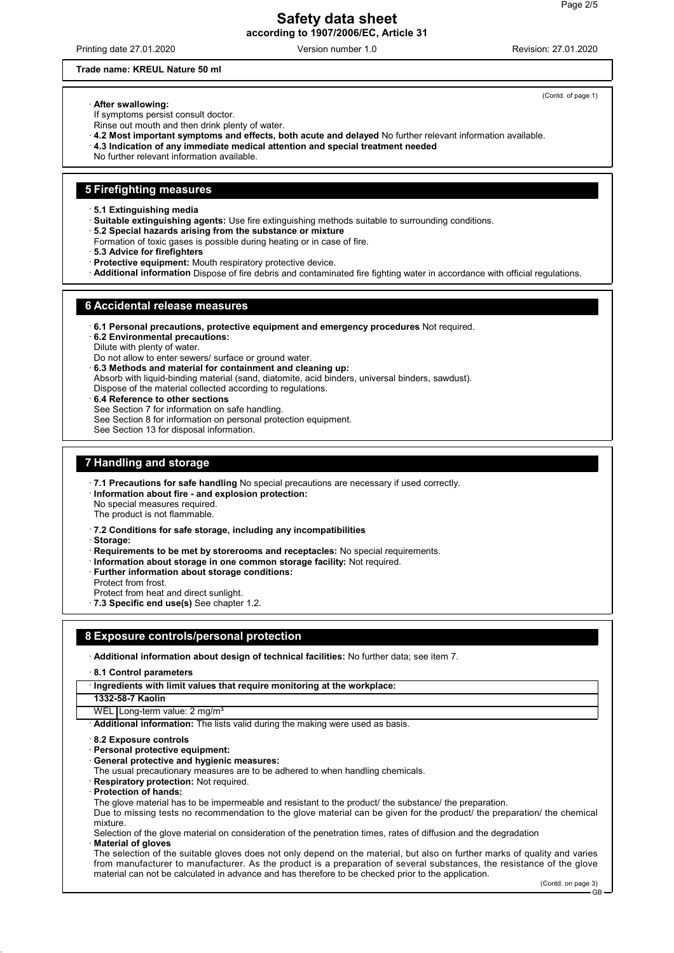Printing date 27.01.2020 Version number 1.0 Revision: 27.01.2020

## **Trade name: KREUL Nature 50 ml**

#### · **After swallowing:**

If symptoms persist consult doctor.

- Rinse out mouth and then drink plenty of water.
- · **4.2 Most important symptoms and effects, both acute and delayed** No further relevant information available.
- · **4.3 Indication of any immediate medical attention and special treatment needed**
- No further relevant information available.

#### **5 Firefighting measures**

- · **5.1 Extinguishing media**
- · **Suitable extinguishing agents:** Use fire extinguishing methods suitable to surrounding conditions.
- · **5.2 Special hazards arising from the substance or mixture**
- Formation of toxic gases is possible during heating or in case of fire.
- · **5.3 Advice for firefighters**
- · **Protective equipment:** Mouth respiratory protective device.
- · **Additional information** Dispose of fire debris and contaminated fire fighting water in accordance with official regulations.

#### **6 Accidental release measures**

- · **6.1 Personal precautions, protective equipment and emergency procedures** Not required.
- · **6.2 Environmental precautions:**
- Dilute with plenty of water.
- Do not allow to enter sewers/ surface or ground water.
- · **6.3 Methods and material for containment and cleaning up:**
- Absorb with liquid-binding material (sand, diatomite, acid binders, universal binders, sawdust). Dispose of the material collected according to regulations.
- · **6.4 Reference to other sections**
- See Section 7 for information on safe handling.
- See Section 8 for information on personal protection equipment.
- See Section 13 for disposal information.

## **7 Handling and storage**

- · **7.1 Precautions for safe handling** No special precautions are necessary if used correctly.
- · **Information about fire and explosion protection:**

No special measures required.

- The product is not flammable.
- · **7.2 Conditions for safe storage, including any incompatibilities**
- · **Storage:**
- · **Requirements to be met by storerooms and receptacles:** No special requirements.
- · **Information about storage in one common storage facility:** Not required.
- **Further information about storage conditions:**
- Protect from frost.
- Protect from heat and direct sunlight.
- · **7.3 Specific end use(s)** See chapter 1.2.

#### **8 Exposure controls/personal protection**

- · **Additional information about design of technical facilities:** No further data; see item 7.
- · **8.1 Control parameters**
- · **Ingredients with limit values that require monitoring at the workplace:**
- **1332-58-7 Kaolin**
- WEL Long-term value: 2 mg/m<sup>3</sup>

- Additional information: The lists valid during the making were used as basis.
- · **8.2 Exposure controls**
- · **Personal protective equipment:**
- · **General protective and hygienic measures:**
- The usual precautionary measures are to be adhered to when handling chemicals.
- **Respiratory protection: Not required.**
- · **Protection of hands:**
- The glove material has to be impermeable and resistant to the product/ the substance/ the preparation.
- Due to missing tests no recommendation to the glove material can be given for the product/ the preparation/ the chemical mixture.
- Selection of the glove material on consideration of the penetration times, rates of diffusion and the degradation · **Material of gloves**
- The selection of the suitable gloves does not only depend on the material, but also on further marks of quality and varies from manufacturer to manufacturer. As the product is a preparation of several substances, the resistance of the glove material can not be calculated in advance and has therefore to be checked prior to the application.

(Contd. of page 1)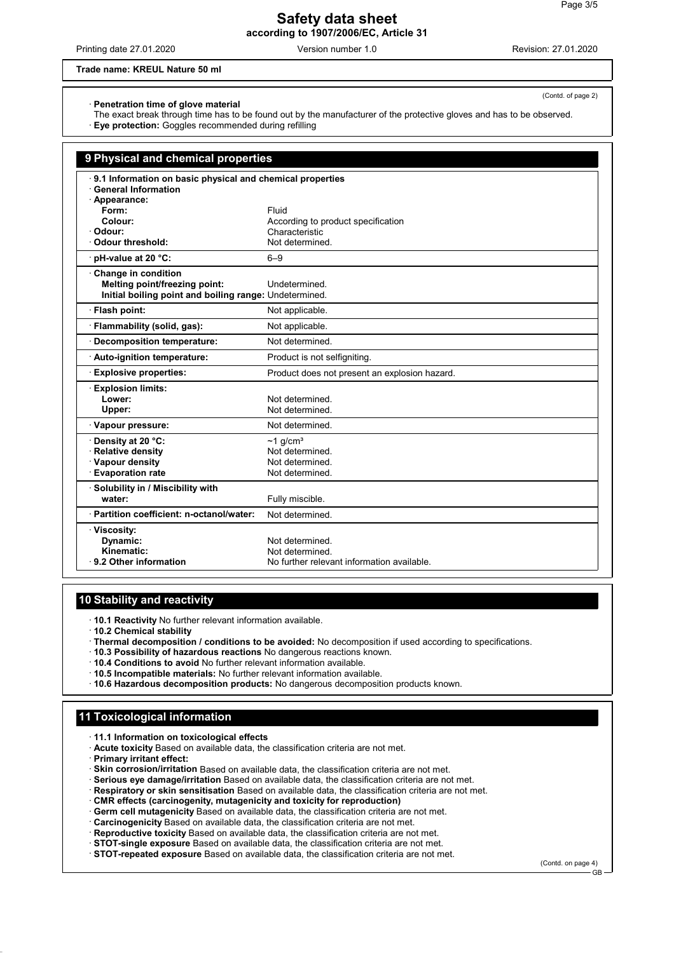Printing date 27.01.2020 Version number 1.0 Revision: 27.01.2020

## **Trade name: KREUL Nature 50 ml**

(Contd. of page 2)

· **Penetration time of glove material**

- The exact break through time has to be found out by the manufacturer of the protective gloves and has to be observed.
- · **Eye protection:** Goggles recommended during refilling

| 9 Physical and chemical properties                        |                                                      |  |
|-----------------------------------------------------------|------------------------------------------------------|--|
| 9.1 Information on basic physical and chemical properties |                                                      |  |
| <b>General Information</b>                                |                                                      |  |
| · Appearance:                                             |                                                      |  |
| Form:                                                     | Fluid                                                |  |
| Colour:<br>· Odour:                                       | According to product specification<br>Characteristic |  |
| <b>Odour threshold:</b>                                   | Not determined.                                      |  |
| pH-value at 20 °C:                                        | $6 - 9$                                              |  |
| Change in condition                                       |                                                      |  |
| Melting point/freezing point:                             | Undetermined.                                        |  |
| Initial boiling point and boiling range: Undetermined.    |                                                      |  |
| · Flash point:                                            | Not applicable.                                      |  |
| Flammability (solid, gas):                                | Not applicable.                                      |  |
| <b>Decomposition temperature:</b>                         | Not determined.                                      |  |
| Auto-ignition temperature:                                | Product is not selfigniting.                         |  |
| <b>Explosive properties:</b>                              | Product does not present an explosion hazard.        |  |
| <b>Explosion limits:</b>                                  |                                                      |  |
| Lower:                                                    | Not determined.                                      |  |
| Upper:                                                    | Not determined.                                      |  |
| · Vapour pressure:                                        | Not determined.                                      |  |
| Density at 20 °C:                                         | $~1$ q/cm <sup>3</sup>                               |  |
| <b>Relative density</b>                                   | Not determined.                                      |  |
| · Vapour density                                          | Not determined.                                      |  |
| <b>Evaporation rate</b>                                   | Not determined.                                      |  |
| · Solubility in / Miscibility with                        |                                                      |  |
| water:                                                    | Fully miscible.                                      |  |
| · Partition coefficient: n-octanol/water:                 | Not determined.                                      |  |
| · Viscosity:                                              |                                                      |  |
| Dynamic:                                                  | Not determined.                                      |  |
| Kinematic:                                                | Not determined.                                      |  |
| 9.2 Other information                                     | No further relevant information available.           |  |

## **10 Stability and reactivity**

- · **10.1 Reactivity** No further relevant information available.
- · **10.2 Chemical stability**
- · **Thermal decomposition / conditions to be avoided:** No decomposition if used according to specifications.
- · **10.3 Possibility of hazardous reactions** No dangerous reactions known.
- · **10.4 Conditions to avoid** No further relevant information available.
- · **10.5 Incompatible materials:** No further relevant information available.
- · **10.6 Hazardous decomposition products:** No dangerous decomposition products known.

## **11 Toxicological information**

· **11.1 Information on toxicological effects**

- · **Acute toxicity** Based on available data, the classification criteria are not met.
- · **Primary irritant effect:**
- · **Skin corrosion/irritation** Based on available data, the classification criteria are not met.
- · **Serious eye damage/irritation** Based on available data, the classification criteria are not met.
- · **Respiratory or skin sensitisation** Based on available data, the classification criteria are not met.
- · **CMR effects (carcinogenity, mutagenicity and toxicity for reproduction)**
- · **Germ cell mutagenicity** Based on available data, the classification criteria are not met.
- · **Carcinogenicity** Based on available data, the classification criteria are not met.
- · **Reproductive toxicity** Based on available data, the classification criteria are not met.
- · **STOT-single exposure** Based on available data, the classification criteria are not met.

· **STOT-repeated exposure** Based on available data, the classification criteria are not met.

(Contd. on page 4) GB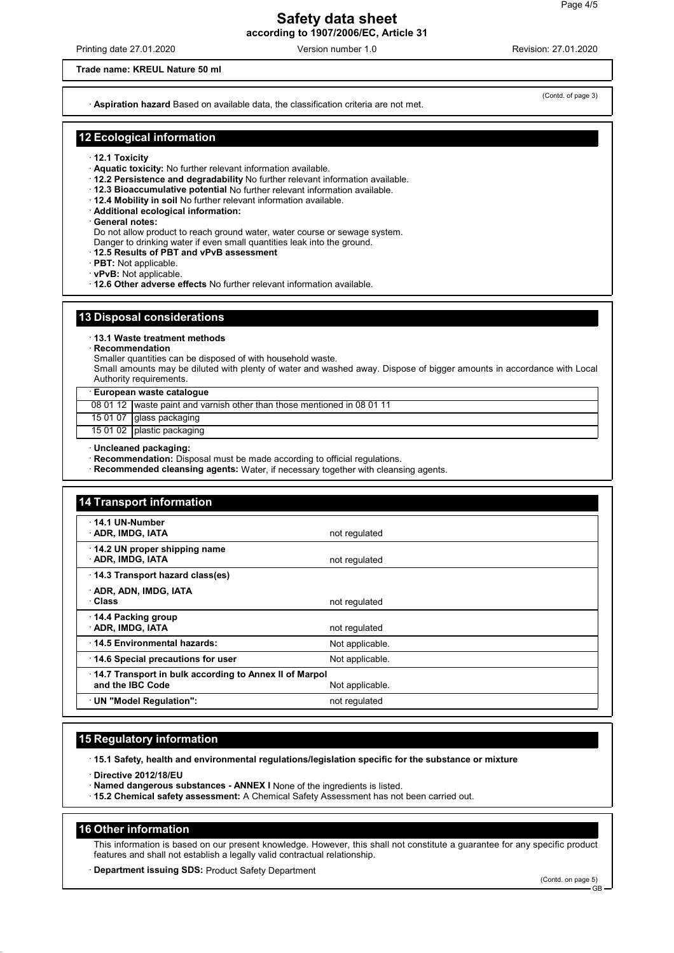Printing date 27.01.2020 Version number 1.0 Revision: 27.01.2020

#### **Trade name: KREUL Nature 50 ml**

· **Aspiration hazard** Based on available data, the classification criteria are not met.

(Contd. of page 3)

## **12 Ecological information**

- · **12.1 Toxicity**
- · **Aquatic toxicity:** No further relevant information available.
- · **12.2 Persistence and degradability** No further relevant information available.
- · **12.3 Bioaccumulative potential** No further relevant information available.
- · **12.4 Mobility in soil** No further relevant information available.
- · **Additional ecological information:**
- · **General notes:**
- Do not allow product to reach ground water, water course or sewage system.
- Danger to drinking water if even small quantities leak into the ground.
- · **12.5 Results of PBT and vPvB assessment**
- · **PBT:** Not applicable.
- · **vPvB:** Not applicable.
- · **12.6 Other adverse effects** No further relevant information available.

#### **13 Disposal considerations**

· **13.1 Waste treatment methods**

- · **Recommendation**
- Smaller quantities can be disposed of with household waste.

Small amounts may be diluted with plenty of water and washed away. Dispose of bigger amounts in accordance with Local Authority requirements.

· **European waste catalogue**

08 01 12 waste paint and varnish other than those mentioned in 08 01 11

15 01 07 glass packaging

15 01 02 plastic packaging

· **Uncleaned packaging:**

- · **Recommendation:** Disposal must be made according to official regulations.
- · **Recommended cleansing agents:** Water, if necessary together with cleansing agents.

| 14 Transport information                                                   |                 |  |
|----------------------------------------------------------------------------|-----------------|--|
| 14.1 UN-Number<br>ADR, IMDG, IATA                                          | not regulated   |  |
| 14.2 UN proper shipping name<br>· ADR, IMDG, IATA                          | not regulated   |  |
| 14.3 Transport hazard class(es)                                            |                 |  |
| · ADR, ADN, IMDG, IATA<br>· Class                                          | not regulated   |  |
| 14.4 Packing group<br>· ADR, IMDG, IATA                                    | not regulated   |  |
| 14.5 Environmental hazards:                                                | Not applicable. |  |
| 14.6 Special precautions for user                                          | Not applicable. |  |
| 14.7 Transport in bulk according to Annex II of Marpol<br>and the IBC Code | Not applicable. |  |
| UN "Model Regulation":                                                     | not regulated   |  |

## **15 Regulatory information**

· **15.1 Safety, health and environmental regulations/legislation specific for the substance or mixture**

· **Directive 2012/18/EU**

- · **Named dangerous substances ANNEX I** None of the ingredients is listed.
- · **15.2 Chemical safety assessment:** A Chemical Safety Assessment has not been carried out.

#### **16 Other information**

This information is based on our present knowledge. However, this shall not constitute a guarantee for any specific product features and shall not establish a legally valid contractual relationship.

· **Department issuing SDS:** Product Safety Department

GB